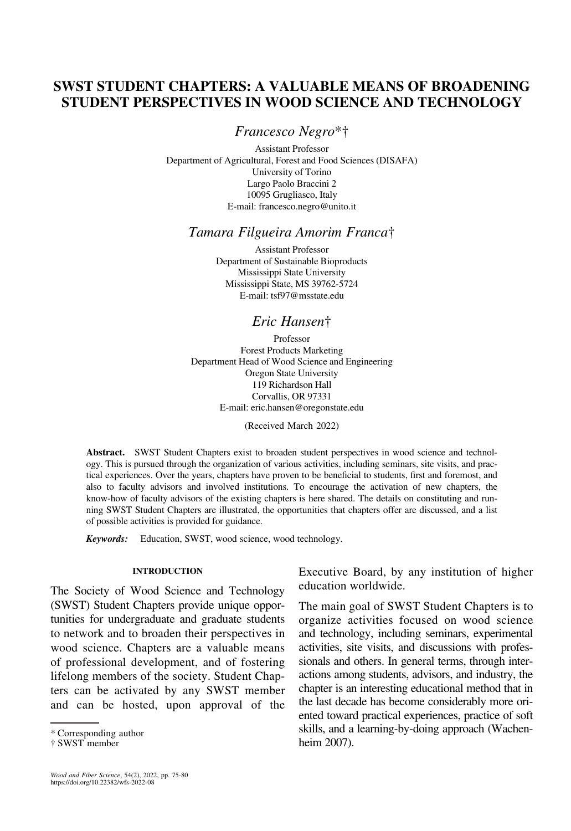# SWST STUDENT CHAPTERS: A VALUABLE MEANS OF BROADENING STUDENT PERSPECTIVES IN WOOD SCIENCE AND TECHNOLOGY

Francesco Negro\*†

Assistant Professor Department of Agricultural, Forest and Food Sciences (DISAFA) University of Torino Largo Paolo Braccini 2 10095 Grugliasco, Italy E-mail: [francesco.negro@unito.it](mailto:francesco.negro@unito.it)

## Tamara Filgueira Amorim Franca†

Assistant Professor Department of Sustainable Bioproducts Mississippi State University Mississippi State, MS 39762-5724 E-mail: [tsf97@msstate.edu](mailto:tsf97@msstate.edu)

## Eric Hansen†

Professor Forest Products Marketing Department Head of Wood Science and Engineering Oregon State University 119 Richardson Hall Corvallis, OR 97331 E-mail: [eric.hansen@oregonstate.edu](mailto:eric.hansen@oregonstate.edu)

(Received March 2022)

Abstract. SWST Student Chapters exist to broaden student perspectives in wood science and technology. This is pursued through the organization of various activities, including seminars, site visits, and practical experiences. Over the years, chapters have proven to be beneficial to students, first and foremost, and also to faculty advisors and involved institutions. To encourage the activation of new chapters, the know-how of faculty advisors of the existing chapters is here shared. The details on constituting and running SWST Student Chapters are illustrated, the opportunities that chapters offer are discussed, and a list of possible activities is provided for guidance.

Keywords: Education, SWST, wood science, wood technology.

#### INTRODUCTION

The Society of Wood Science and Technology (SWST) Student Chapters provide unique opportunities for undergraduate and graduate students to network and to broaden their perspectives in wood science. Chapters are a valuable means of professional development, and of fostering lifelong members of the society. Student Chapters can be activated by any SWST member and can be hosted, upon approval of the Executive Board, by any institution of higher education worldwide.

The main goal of SWST Student Chapters is to organize activities focused on wood science and technology, including seminars, experimental activities, site visits, and discussions with professionals and others. In general terms, through interactions among students, advisors, and industry, the chapter is an interesting educational method that in the last decade has become considerably more oriented toward practical experiences, practice of soft skills, and a learning-by-doing approach [\(Wachen-](#page-5-0)\* Corresponding author **[heim 2007](#page-5-0)**.<br>
heim 2007).

<sup>†</sup> SWST member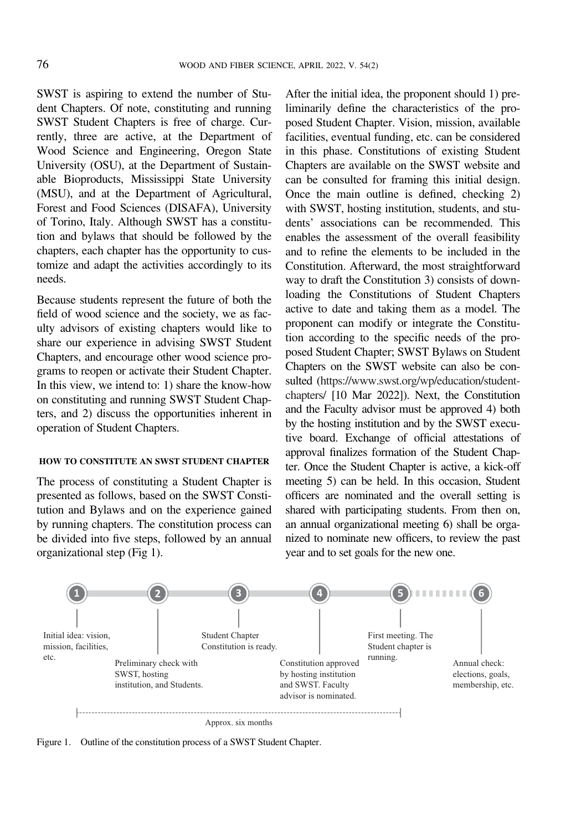SWST is aspiring to extend the number of Student Chapters. Of note, constituting and running SWST Student Chapters is free of charge. Currently, three are active, at the Department of Wood Science and Engineering, Oregon State University (OSU), at the Department of Sustainable Bioproducts, Mississippi State University (MSU), and at the Department of Agricultural, Forest and Food Sciences (DISAFA), University of Torino, Italy. Although SWST has a constitution and bylaws that should be followed by the chapters, each chapter has the opportunity to customize and adapt the activities accordingly to its needs.

Because students represent the future of both the field of wood science and the society, we as faculty advisors of existing chapters would like to share our experience in advising SWST Student Chapters, and encourage other wood science programs to reopen or activate their Student Chapter. In this view, we intend to: 1) share the know-how on constituting and running SWST Student Chapters, and 2) discuss the opportunities inherent in operation of Student Chapters.

#### HOW TO CONSTITUTE AN SWST STUDENT CHAPTER

The process of constituting a Student Chapter is presented as follows, based on the SWST Constitution and Bylaws and on the experience gained by running chapters. The constitution process can be divided into five steps, followed by an annual organizational step (Fig 1).

After the initial idea, the proponent should 1) preliminarily define the characteristics of the proposed Student Chapter. Vision, mission, available facilities, eventual funding, etc. can be considered in this phase. Constitutions of existing Student Chapters are available on the SWST website and can be consulted for framing this initial design. Once the main outline is defined, checking 2) with SWST, hosting institution, students, and students' associations can be recommended. This enables the assessment of the overall feasibility and to refine the elements to be included in the Constitution. Afterward, the most straightforward way to draft the Constitution 3) consists of downloading the Constitutions of Student Chapters active to date and taking them as a model. The proponent can modify or integrate the Constitution according to the specific needs of the proposed Student Chapter; SWST Bylaws on Student Chapters on the SWST website can also be consulted [\(https://www.swst.org/wp/education/student](https://www.swst.org/wp/education/student-chapters/)[chapters/](https://www.swst.org/wp/education/student-chapters/) [10 Mar 2022]). Next, the Constitution and the Faculty advisor must be approved 4) both by the hosting institution and by the SWST executive board. Exchange of official attestations of approval finalizes formation of the Student Chapter. Once the Student Chapter is active, a kick-off meeting 5) can be held. In this occasion, Student officers are nominated and the overall setting is shared with participating students. From then on, an annual organizational meeting 6) shall be organized to nominate new officers, to review the past year and to set goals for the new one.



Figure 1. Outline of the constitution process of a SWST Student Chapter.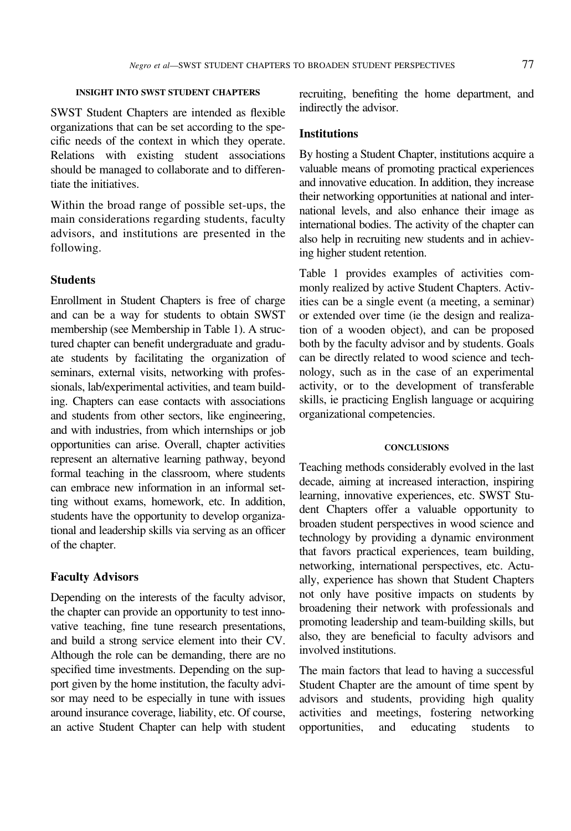### INSIGHT INTO SWST STUDENT CHAPTERS

SWST Student Chapters are intended as flexible organizations that can be set according to the specific needs of the context in which they operate. Relations with existing student associations should be managed to collaborate and to differentiate the initiatives.

Within the broad range of possible set-ups, the main considerations regarding students, faculty advisors, and institutions are presented in the following.

### Students

Enrollment in Student Chapters is free of charge and can be a way for students to obtain SWST membership (see Membership in Table [1\)](#page-3-0). A structured chapter can benefit undergraduate and graduate students by facilitating the organization of seminars, external visits, networking with professionals, lab/experimental activities, and team building. Chapters can ease contacts with associations and students from other sectors, like engineering, and with industries, from which internships or job opportunities can arise. Overall, chapter activities represent an alternative learning pathway, beyond formal teaching in the classroom, where students can embrace new information in an informal setting without exams, homework, etc. In addition, students have the opportunity to develop organizational and leadership skills via serving as an officer of the chapter.

### Faculty Advisors

Depending on the interests of the faculty advisor, the chapter can provide an opportunity to test innovative teaching, fine tune research presentations, and build a strong service element into their CV. Although the role can be demanding, there are no specified time investments. Depending on the support given by the home institution, the faculty advisor may need to be especially in tune with issues around insurance coverage, liability, etc. Of course, an active Student Chapter can help with student

recruiting, benefiting the home department, and indirectly the advisor.

### **Institutions**

By hosting a Student Chapter, institutions acquire a valuable means of promoting practical experiences and innovative education. In addition, they increase their networking opportunities at national and international levels, and also enhance their image as international bodies. The activity of the chapter can also help in recruiting new students and in achieving higher student retention.

Table [1](#page-3-0) provides examples of activities commonly realized by active Student Chapters. Activities can be a single event (a meeting, a seminar) or extended over time (ie the design and realization of a wooden object), and can be proposed both by the faculty advisor and by students. Goals can be directly related to wood science and technology, such as in the case of an experimental activity, or to the development of transferable skills, ie practicing English language or acquiring organizational competencies.

### **CONCLUSIONS**

Teaching methods considerably evolved in the last decade, aiming at increased interaction, inspiring learning, innovative experiences, etc. SWST Student Chapters offer a valuable opportunity to broaden student perspectives in wood science and technology by providing a dynamic environment that favors practical experiences, team building, networking, international perspectives, etc. Actually, experience has shown that Student Chapters not only have positive impacts on students by broadening their network with professionals and promoting leadership and team-building skills, but also, they are beneficial to faculty advisors and involved institutions.

The main factors that lead to having a successful Student Chapter are the amount of time spent by advisors and students, providing high quality activities and meetings, fostering networking opportunities, and educating students to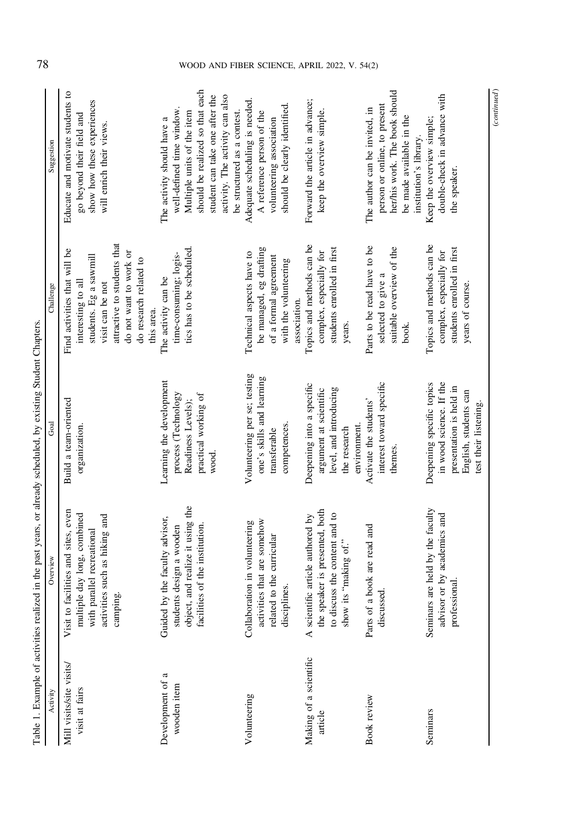| Table 1. Example of activities realiz      |                                                                                                                                                       | ced in the past years, or already scheduled, by existing Student Chapters                                                         |                                                                                                                                                                                                   |                                                                                                                                                                                                                             |
|--------------------------------------------|-------------------------------------------------------------------------------------------------------------------------------------------------------|-----------------------------------------------------------------------------------------------------------------------------------|---------------------------------------------------------------------------------------------------------------------------------------------------------------------------------------------------|-----------------------------------------------------------------------------------------------------------------------------------------------------------------------------------------------------------------------------|
| Activity                                   | Overview                                                                                                                                              | Goal                                                                                                                              | Challenge                                                                                                                                                                                         | Suggestion                                                                                                                                                                                                                  |
| Mill visits/site visits/<br>visit at fairs | facilities and sites, even<br>multiple day long, combined<br>activities such as hiking and<br>parallel recreational<br>camping.<br>with p<br>Visit to | Build a team-oriented<br>organization.                                                                                            | attractive to students that<br>Find activities that will be<br>do not want to work or<br>students. Eg a sawmill<br>do research related to<br>interesting to all<br>visit can be not<br>this area. | Educate and motivate students to<br>show how these experiences<br>go beyond their field and<br>will enrich their views.                                                                                                     |
| ß<br>Development of<br>wooden item         | object, and realize it using the<br>facilities of the institution.<br>Guided by the faculty advisor,<br>students design a wooden                      | Learning the development<br>process (Technology<br>practical working of<br>Readiness Levels);<br>wood.                            | tics has to be scheduled.<br>time-consuming; logis-<br>The activity can be                                                                                                                        | should be realized so that each<br>activity. The activity can also<br>student can take one after the<br>well-defined time window<br>be structured as a contest.<br>Multiple units of the item<br>The activity should have a |
| Volunteering                               | activities that are somehow<br>Collaboration in volunteering<br>related to the curricular<br>disciplines.                                             | Volunteering per se; testing<br>one's skills and learning<br>competences.<br>transferable                                         | be managed, eg drafting<br>Technical aspects have to<br>of a formal agreement<br>with the volunteering<br>association.                                                                            | Adequate scheduling is needed.<br>should be clearly identified.<br>A reference person of the<br>volunteering association                                                                                                    |
| Making of a scientific<br>article          | the speaker is presented, both<br>to discuss the content and to<br>A scientific article authored by<br>show its "making of."                          | Deepening into a specific<br>level, and introducing<br>argument at scientific<br>environment.<br>the research                     | Topics and methods can be<br>students enrolled in first<br>complex, especially for<br>years.                                                                                                      | Forward the article in advance;<br>keep the overview simple.                                                                                                                                                                |
| <b>Book</b> review                         | a book are read and<br>discussed.<br>Parts of                                                                                                         | interest toward specific<br>Activate the students'<br>themes.                                                                     | Parts to be read have to be<br>suitable overview of the<br>selected to give a<br>book.                                                                                                            | her/his work. The book should<br>person or online, to present<br>The author can be invited, in<br>be made available in the<br>institution's library.                                                                        |
| Seminars                                   | Seminars are held by the faculty<br>advisor or by academics and<br>professional.                                                                      | Deepening specific topics<br>in wood science. If the<br>presentation is held in<br>English, students can<br>test their listening. | Topics and methods can be<br>students enrolled in first<br>complex, especially for<br>years of course.                                                                                            | double-check in advance with<br>Keep the overview simple;<br>the speaker.                                                                                                                                                   |

<span id="page-3-0"></span>78 WOOD AND FIBER SCIENCE, APRIL 2022, V. 54(2)

 $\label{eq:constrained} (continued)$ (continued)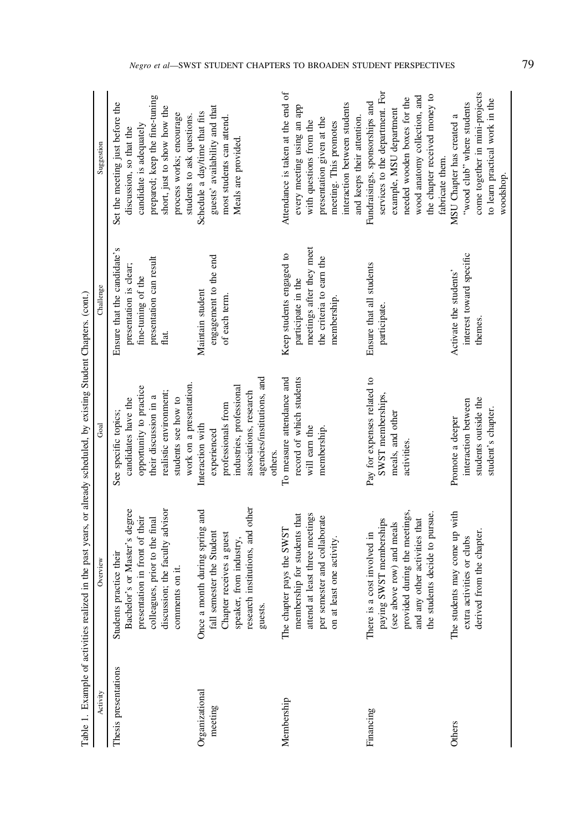|                           | Table 1. Example of activities realized in the past years, or already scheduled, by existing Student Chapters. (cont.)                                                                        |                                                                                                                                                                             |                                                                                                                       |                                                                                                                                                                                                                  |
|---------------------------|-----------------------------------------------------------------------------------------------------------------------------------------------------------------------------------------------|-----------------------------------------------------------------------------------------------------------------------------------------------------------------------------|-----------------------------------------------------------------------------------------------------------------------|------------------------------------------------------------------------------------------------------------------------------------------------------------------------------------------------------------------|
| Activity                  | Overview                                                                                                                                                                                      | Goal                                                                                                                                                                        | Challenge                                                                                                             | Suggestion                                                                                                                                                                                                       |
| Thesis presentations      | discussion; the faculty advisor<br>Bachelor's or Master's degree<br>presentation in front of their<br>colleagues, prior to the final<br>Students practice their<br>comments on it.            | work on a presentation.<br>opportunity to practice<br>realistic environment;<br>their discussion in a<br>students see how to<br>candidates have the<br>See specific topics; | Ensure that the candidate's<br>presentation can result<br>presentation is clear;<br>fine-tuning of the<br>flat.       | prepared; keep the fine-tuning<br>Set the meeting just before the<br>short, just to show how the<br>process works; encourage<br>students to ask questions.<br>candidate is adequately<br>discussion, so that the |
| Organizational<br>meeting | research institutions, and other<br>Once a month during spring and<br>fall semester the Student<br>Chapter receives a guest<br>speaker, from industry,<br>guests.                             | agencies/institutions, and<br>industries, professional<br>associations, research<br>professionals from<br>Interaction with<br>experienced<br>others.                        | engagement to the end<br>Maintain student<br>of each term.                                                            | guests' availability and that<br>Schedule a day/time that fits<br>most students can attend.<br>Meals are provided.                                                                                               |
| Membership                | attend at least three meetings<br>membership for students that<br>per semester and collaborate<br>The chapter pays the SWST<br>east one activity.<br>on at $\bf{1}$                           | To measure attendance and<br>record of which students<br>will earn the<br>membership.                                                                                       | meetings after they meet<br>Keep students engaged to<br>the criteria to earn the<br>participate in the<br>membership. | Attendance is taken at the end of<br>interaction between students<br>every meeting using an app<br>and keeps their attention.<br>presentation given at the<br>with questions from the<br>meeting. This promotes  |
| Financing                 | provided during the meetings.<br>the students decide to pursue.<br>and any other activities that<br>SWST memberships<br>(see above row) and meals<br>a cost involved in<br>paying<br>There is | Pay for expenses related to<br>SWST memberships,<br>meals, and other<br>activities.                                                                                         | Ensure that all students<br>participate.                                                                              | services to the department. For<br>the chapter received money to<br>wood anatomy collection, and<br>needed wooden boxes for the<br>Fundraisings, sponsorships and<br>example, MSU department<br>fabricate them.  |
| Others                    | The students may come up with<br>derived from the chapter.<br>extra activities or clubs                                                                                                       | students outside the<br>interaction between<br>student's chapter.<br>Promote a deeper                                                                                       | interest toward specific<br>Activate the students'<br>themes.                                                         | come together in mini-projects<br>to learn practical work in the<br>"wood club" where students<br>MSU Chapter has created a<br>woodshop.                                                                         |